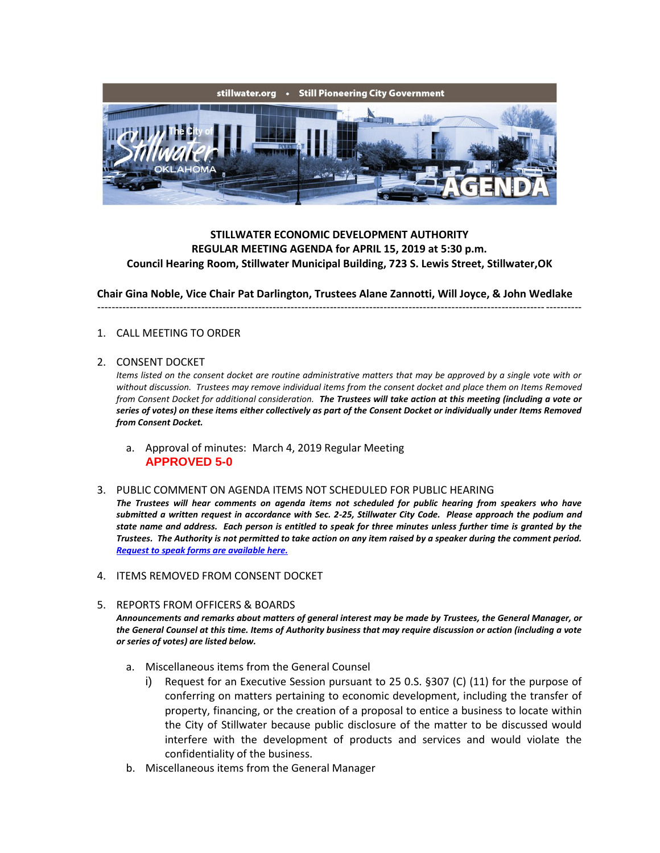

## **STILLWATER ECONOMIC DEVELOPMENT AUTHORITY REGULAR MEETING AGENDA for APRIL 15, 2019 at 5:30 p.m. Council Hearing Room, Stillwater Municipal Building, 723 S. Lewis Street, Stillwater,OK**

**Chair Gina Noble, Vice Chair Pat Darlington, Trustees Alane Zannotti, Will Joyce, & John Wedlake**

---------------------------------------------------------------------------------------------------------------------------------------

## 1. CALL MEETING TO ORDER

## 2. CONSENT DOCKET

*Items listed on the consent docket are routine administrative matters that may be approved by a single vote with or without discussion. Trustees may remove individual items from the consent docket and place them on Items Removed from Consent Docket for additional consideration. The Trustees will take action at this meeting (including a vote or series of votes) on these items either collectively as part of the Consent Docket or individually under Items Removed from Consent Docket.*

a. Approval of minutes: March 4, 2019 Regular Meeting **APPROVED 5-0**

## 3. PUBLIC COMMENT ON AGENDA ITEMS NOT SCHEDULED FOR PUBLIC HEARING

*The Trustees will hear comments on agenda items not scheduled for public hearing from speakers who have submitted a written request in accordance with Sec. 2-25, Stillwater City Code. Please approach the podium and state name and address. Each person is entitled to speak for three minutes unless further time is granted by the Trustees. The Authority is not permitted to take action on any item raised by a speaker during the comment period. [Request to speak forms are available here.](http://stillwater.org/document/request_to_speak_at_city_council.php)*

- 4. ITEMS REMOVED FROM CONSENT DOCKET
- 5. REPORTS FROM OFFICERS & BOARDS *Announcements and remarks about matters of general interest may be made by Trustees, the General Manager, or the General Counsel at this time. Items of Authority business that may require discussion or action (including a vote or series of votes) are listed below.*
	- a. Miscellaneous items from the General Counsel
		- i) Request for an Executive Session pursuant to 25 0.S. §307 (C) (11) for the purpose of conferring on matters pertaining to economic development, including the transfer of property, financing, or the creation of a proposal to entice a business to locate within the City of Stillwater because public disclosure of the matter to be discussed would interfere with the development of products and services and would violate the confidentiality of the business.
	- b. Miscellaneous items from the General Manager